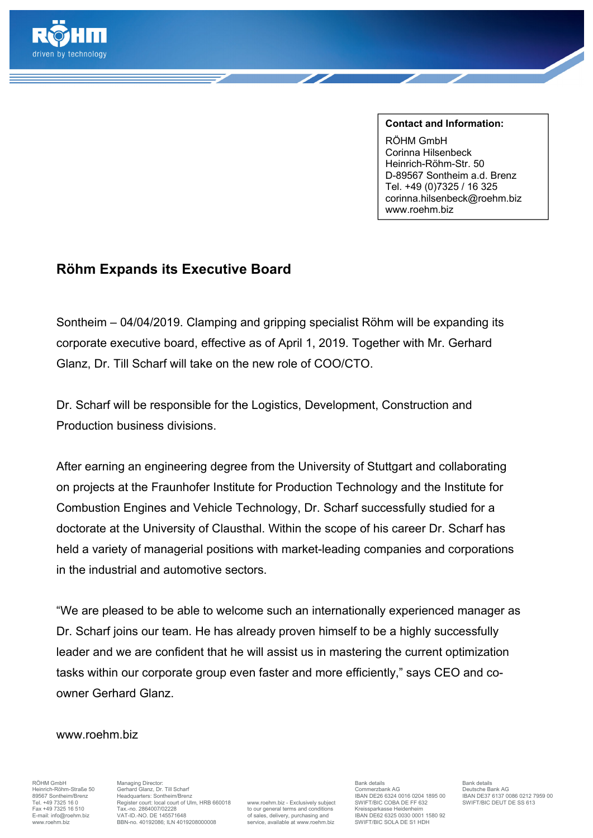

**Contact and Information:**  RÖHM GmbH Corinna Hilsenbeck Heinrich-Röhm-Str. 50 D-89567 Sontheim a.d. Brenz Tel. +49 (0)7325 / 16 325 corinna.hilsenbeck@roehm.biz www.roehm.biz

## **Röhm Expands its Executive Board**

Sontheim – 04/04/2019. Clamping and gripping specialist Röhm will be expanding its corporate executive board, effective as of April 1, 2019. Together with Mr. Gerhard Glanz, Dr. Till Scharf will take on the new role of COO/CTO.

Dr. Scharf will be responsible for the Logistics, Development, Construction and Production business divisions.

After earning an engineering degree from the University of Stuttgart and collaborating on projects at the Fraunhofer Institute for Production Technology and the Institute for Combustion Engines and Vehicle Technology, Dr. Scharf successfully studied for a doctorate at the University of Clausthal. Within the scope of his career Dr. Scharf has held a variety of managerial positions with market-leading companies and corporations in the industrial and automotive sectors.

"We are pleased to be able to welcome such an internationally experienced manager as Dr. Scharf joins our team. He has already proven himself to be a highly successfully leader and we are confident that he will assist us in mastering the current optimization tasks within our corporate group even faster and more efficiently," says CEO and coowner Gerhard Glanz.

## www.roehm.biz

Heinrich-Röhm-Straße 50 Merinang Director.<br>Heinrich-Röhm-Straße 50 Gerhard Glanz, Dr. Till Scharf Commerzbank AG Deutsche Bank AG Deutsche Bank AG Deutsche Bank AG Deutsche Bank AG Deutsche Bank AG Deutsche Bank AG Deutsch Tel. +49 7325 16 0 Register court: local court of Ulm, HRB 660018 www.roehm.biz - Exclusively subject SWIFT/BIC COBA DE FF 63<br>Fax +49 7325 16 510 Tax -no 2864007/02228 states because the state of the state of the SWIFT/BIC Fax +49 7325 16 510 Tax-no. 2864007/02228 to our general terms and conditions F-mail: info@roehm.biz VAT-ID.-NO. DE 145571648 for all conditions of sales, delivery, purchasing and E-mail: info@roehm.biz VAT-ID.-NO. DE 145571648 of sales, delivery, purchasing and IBAN DE62 6325 0030 0001 1580 92<br>Www.mehm.biz BBN-no. 40192086: ILN 4019208000008 service. available at www.roehm.biz SWIFT/BIC SOLA DE S1 ww.roehm.biz BBN-no. 40192086; ILN 4019208000008

RÖHM GmbH Managing Director: Bank details Bank details 896667 SONTHEIM HEADTH HEAD THEAD THE LOST HEAD THE USE OF SEAR DE26 6324 0016 0204 1895 00<br>IBAN DE26 6324 0016 0204 1895 00